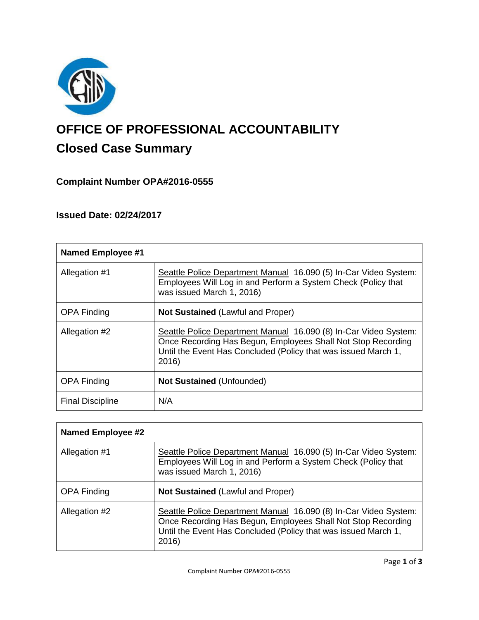

# **OFFICE OF PROFESSIONAL ACCOUNTABILITY Closed Case Summary**

# **Complaint Number OPA#2016-0555**

# **Issued Date: 02/24/2017**

| <b>Named Employee #1</b> |                                                                                                                                                                                                             |
|--------------------------|-------------------------------------------------------------------------------------------------------------------------------------------------------------------------------------------------------------|
| Allegation #1            | Seattle Police Department Manual 16.090 (5) In-Car Video System:<br>Employees Will Log in and Perform a System Check (Policy that<br>was issued March 1, 2016)                                              |
| <b>OPA Finding</b>       | <b>Not Sustained (Lawful and Proper)</b>                                                                                                                                                                    |
| Allegation #2            | Seattle Police Department Manual 16.090 (8) In-Car Video System:<br>Once Recording Has Begun, Employees Shall Not Stop Recording<br>Until the Event Has Concluded (Policy that was issued March 1,<br>2016) |
| <b>OPA Finding</b>       | <b>Not Sustained (Unfounded)</b>                                                                                                                                                                            |
| <b>Final Discipline</b>  | N/A                                                                                                                                                                                                         |

| <b>Named Employee #2</b> |                                                                                                                                                                                                             |
|--------------------------|-------------------------------------------------------------------------------------------------------------------------------------------------------------------------------------------------------------|
| Allegation #1            | Seattle Police Department Manual 16.090 (5) In-Car Video System:<br>Employees Will Log in and Perform a System Check (Policy that<br>was issued March 1, 2016)                                              |
| <b>OPA Finding</b>       | <b>Not Sustained (Lawful and Proper)</b>                                                                                                                                                                    |
| Allegation #2            | Seattle Police Department Manual 16.090 (8) In-Car Video System:<br>Once Recording Has Begun, Employees Shall Not Stop Recording<br>Until the Event Has Concluded (Policy that was issued March 1,<br>2016) |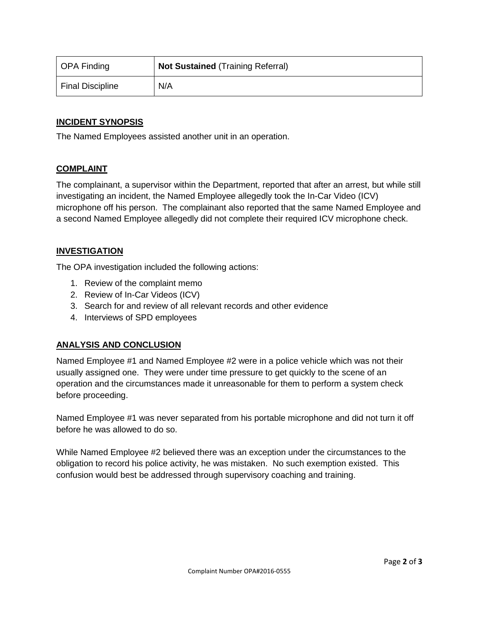| OPA Finding      | <b>Not Sustained (Training Referral)</b> |
|------------------|------------------------------------------|
| Final Discipline | N/A                                      |

# **INCIDENT SYNOPSIS**

The Named Employees assisted another unit in an operation.

# **COMPLAINT**

The complainant, a supervisor within the Department, reported that after an arrest, but while still investigating an incident, the Named Employee allegedly took the In-Car Video (ICV) microphone off his person. The complainant also reported that the same Named Employee and a second Named Employee allegedly did not complete their required ICV microphone check.

# **INVESTIGATION**

The OPA investigation included the following actions:

- 1. Review of the complaint memo
- 2. Review of In-Car Videos (ICV)
- 3. Search for and review of all relevant records and other evidence
- 4. Interviews of SPD employees

# **ANALYSIS AND CONCLUSION**

Named Employee #1 and Named Employee #2 were in a police vehicle which was not their usually assigned one. They were under time pressure to get quickly to the scene of an operation and the circumstances made it unreasonable for them to perform a system check before proceeding.

Named Employee #1 was never separated from his portable microphone and did not turn it off before he was allowed to do so.

While Named Employee #2 believed there was an exception under the circumstances to the obligation to record his police activity, he was mistaken. No such exemption existed. This confusion would best be addressed through supervisory coaching and training.